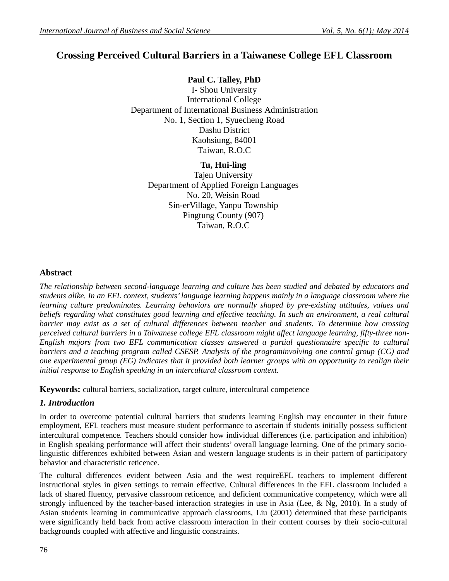# **Crossing Perceived Cultural Barriers in a Taiwanese College EFL Classroom**

## **Paul C. Talley, PhD**

I- Shou University International College Department of International Business Administration No. 1, Section 1, Syuecheng Road Dashu District Kaohsiung, 84001 Taiwan, R.O.C

**Tu, Hui-ling** Tajen University Department of Applied Foreign Languages No. 20, Weisin Road Sin-erVillage, Yanpu Township Pingtung County (907) Taiwan, R.O.C

### **Abstract**

*The relationship between second-language learning and culture has been studied and debated by educators and students alike. In an EFL context, students' language learning happens mainly in a language classroom where the learning culture predominates. Learning behaviors are normally shaped by pre-existing attitudes, values and beliefs regarding what constitutes good learning and effective teaching. In such an environment, a real cultural barrier may exist as a set of cultural differences between teacher and students. To determine how crossing perceived cultural barriers in a Taiwanese college EFL classroom might affect language learning, fifty-three non-English majors from two EFL communication classes answered a partial questionnaire specific to cultural barriers and a teaching program called CSESP. Analysis of the programinvolving one control group (CG) and one experimental group (EG) indicates that it provided both learner groups with an opportunity to realign their initial response to English speaking in an intercultural classroom context.* 

**Keywords:** cultural barriers, socialization, target culture, intercultural competence

## *1. Introduction*

In order to overcome potential cultural barriers that students learning English may encounter in their future employment, EFL teachers must measure student performance to ascertain if students initially possess sufficient intercultural competence. Teachers should consider how individual differences (i.e. participation and inhibition) in English speaking performance will affect their students' overall language learning. One of the primary sociolinguistic differences exhibited between Asian and western language students is in their pattern of participatory behavior and characteristic reticence.

The cultural differences evident between Asia and the west requireEFL teachers to implement different instructional styles in given settings to remain effective. Cultural differences in the EFL classroom included a lack of shared fluency, pervasive classroom reticence, and deficient communicative competency, which were all strongly influenced by the teacher-based interaction strategies in use in Asia (Lee, & Ng, 2010). In a study of Asian students learning in communicative approach classrooms, Liu (2001) determined that these participants were significantly held back from active classroom interaction in their content courses by their socio-cultural backgrounds coupled with affective and linguistic constraints.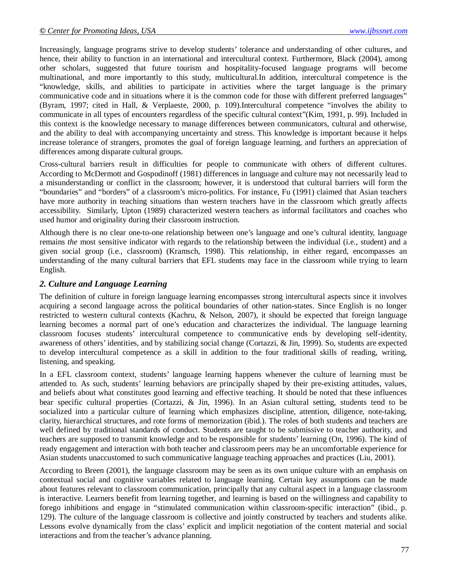Increasingly, language programs strive to develop students' tolerance and understanding of other cultures, and hence, their ability to function in an international and intercultural context. Furthermore, Black (2004), among other scholars, suggested that future tourism and hospitality-focused language programs will become multinational, and more importantly to this study, multicultural.In addition, intercultural competence is the "knowledge, skills, and abilities to participate in activities where the target language is the primary communicative code and in situations where it is the common code for those with different preferred languages" (Byram, 1997; cited in Hall, & Verplaeste, 2000, p. 109).Intercultural competence "involves the ability to communicate in all types of encounters regardless of the specific cultural context"(Kim, 1991, p. 99). Included in this context is the knowledge necessary to manage differences between communicators, cultural and otherwise, and the ability to deal with accompanying uncertainty and stress. This knowledge is important because it helps increase tolerance of strangers, promotes the goal of foreign language learning, and furthers an appreciation of differences among disparate cultural groups.

Cross-cultural barriers result in difficulties for people to communicate with others of different cultures. According to McDermott and Gospodinoff (1981) differences in language and culture may not necessarily lead to a misunderstanding or conflict in the classroom; however, it is understood that cultural barriers will form the "boundaries" and "borders" of a classroom's micro-politics. For instance, Fu (1991) claimed that Asian teachers have more authority in teaching situations than western teachers have in the classroom which greatly affects accessibility. Similarly, Upton (1989) characterized western teachers as informal facilitators and coaches who used humor and originality during their classroom instruction.

Although there is no clear one-to-one relationship between one's language and one's cultural identity, language remains *the* most sensitive indicator with regards to the relationship between the individual (i.e., student) and a given social group (i.e., classroom) (Kramsch, 1998). This relationship, in either regard, encompasses an understanding of the many cultural barriers that EFL students may face in the classroom while trying to learn English.

#### *2. Culture and Language Learning*

The definition of culture in foreign language learning encompasses strong intercultural aspects since it involves acquiring a second language across the political boundaries of other nation-states. Since English is no longer restricted to western cultural contexts (Kachru, & Nelson, 2007), it should be expected that foreign language learning becomes a normal part of one's education and characterizes the individual. The language learning classroom focuses students' intercultural competence to communicative ends by developing self-identity, awareness of others' identities, and by stabilizing social change (Cortazzi, & Jin, 1999). So, students are expected to develop intercultural competence as a skill in addition to the four traditional skills of reading, writing, listening, and speaking.

In a EFL classroom context, students' language learning happens whenever the culture of learning must be attended to. As such, students' learning behaviors are principally shaped by their pre-existing attitudes, values, and beliefs about what constitutes good learning and effective teaching. It should be noted that these influences bear specific cultural properties (Cortazzi, & Jin, 1996). In an Asian cultural setting, students tend to be socialized into a particular culture of learning which emphasizes discipline, attention, diligence, note-taking, clarity, hierarchical structures, and rote forms of memorization (ibid.). The roles of both students and teachers are well defined by traditional standards of conduct. Students are taught to be submissive to teacher authority, and teachers are supposed to transmit knowledge and to be responsible for students' learning (On, 1996). The kind of ready engagement and interaction with both teacher and classroom peers may be an uncomfortable experience for Asian students unaccustomed to such communicative language teaching approaches and practices (Liu, 2001).

According to Breen (2001), the language classroom may be seen as its own unique culture with an emphasis on contextual social and cognitive variables related to language learning. Certain key assumptions can be made about features relevant to classroom communication, principally that any cultural aspect in a language classroom is interactive. Learners benefit from learning together, and learning is based on the willingness and capability to forego inhibitions and engage in "stimulated communication within classroom-specific interaction" (ibid., p. 129). The culture of the language classroom is collective and jointly constructed by teachers and students alike. Lessons evolve dynamically from the class' explicit and implicit negotiation of the content material and social interactions and from the teacher's advance planning.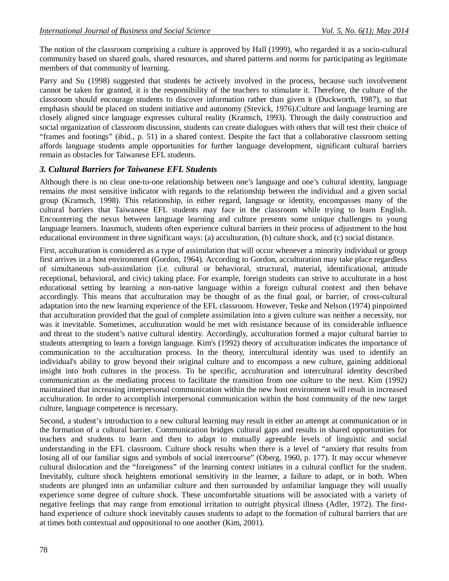The notion of the classroom comprising a culture is approved by Hall (1999), who regarded it as a socio-cultural community based on shared goals, shared resources, and shared patterns and norms for participating as legitimate members of that community of learning.

Parry and Su (1998) suggested that students be actively involved in the process, because such involvement cannot be taken for granted, it is the responsibility of the teachers to stimulate it. Therefore, the culture of the classroom should encourage students to discover information rather than given it (Duckworth, 1987), so that emphasis should be placed on student initiative and autonomy (Stevick, 1976).Culture and language learning are closely aligned since language expresses cultural reality (Kramsch, 1993). Through the daily construction and social organization of classroom discussion, students can create dialogues with others that will test their choice of "frames and footings" (ibid., p. 51) in a shared context. Despite the fact that a collaborative classroom setting affords language students ample opportunities for further language development, significant cultural barriers remain as obstacles for Taiwanese EFL students.

#### *3. Cultural Barriers for Taiwanese EFL Students*

Although there is no clear one-to-one relationship between one's language and one's cultural identity, language remains *the* most sensitive indicator with regards to the relationship between the individual and a given social group (Kramsch, 1998). This relationship, in either regard, language or identity, encompasses many of the cultural barriers that Taiwanese EFL students may face in the classroom while trying to learn English. Encountering the nexus between language learning and culture presents some unique challenges to young language learners. Inasmuch, students often experience cultural barriers in their process of adjustment to the host educational environment in three significant ways: (a) acculturation, (b) culture shock, and (c) social distance.

First, acculturation is considered as a type of assimilation that will occur whenever a minority individual or group first arrives in a host environment (Gordon, 1964). According to Gordon, acculturation may take place regardless of simultaneous sub-assimilation (i.e. cultural or behavioral, structural, material, identificational, attitude receptional, behavioral, and civic) taking place. For example, foreign students can strive to acculturate in a host educational setting by learning a non-native language within a foreign cultural context and then behave accordingly. This means that acculturation may be thought of as the final goal, or barrier, of cross-cultural adaptation into the new learning experience of the EFL classroom. However, Teske and Nelson (1974) pinpointed that acculturation provided that the goal of complete assimilation into a given culture was neither a necessity, nor was it inevitable. Sometimes, acculturation would be met with resistance because of its considerable influence and threat to the student's native cultural identity. Accordingly, acculturation formed a major cultural barrier to students attempting to learn a foreign language. Kim's (1992) theory of acculturation indicates the importance of communication to the acculturation process. In the theory, intercultural identity was used to identify an individual's ability to grow beyond their original culture and to encompass a new culture, gaining additional insight into both cultures in the process. To be specific, acculturation and intercultural identity described communication as the mediating process to facilitate the transition from one culture to the next. Kim (1992) maintained that increasing interpersonal communication within the new host environment will result in increased acculturation. In order to accomplish interpersonal communication within the host community of the new target culture, language competence is necessary.

Second, a student's introduction to a new cultural learning may result in either an attempt at communication or in the formation of a cultural barrier. Communication bridges cultural gaps and results in shared opportunities for teachers and students to learn and then to adapt to mutually agreeable levels of linguistic and social understanding in the EFL classroom. Culture shock results when there is a level of "anxiety that results from losing all of our familiar signs and symbols of social intercourse" (Oberg, 1960, p. 177). It may occur whenever cultural dislocation and the "foreignness" of the learning context initiates in a cultural conflict for the student. Inevitably, culture shock heightens emotional sensitivity in the learner, a failure to adapt, or in both. When students are plunged into an unfamiliar culture and then surrounded by unfamiliar language they will usually experience some degree of culture shock. These uncomfortable situations will be associated with a variety of negative feelings that may range from emotional irritation to outright physical illness (Adler, 1972). The firsthand experience of culture shock inevitably causes students to adapt to the formation of cultural barriers that are at times both contextual and oppositional to one another (Kim, 2001).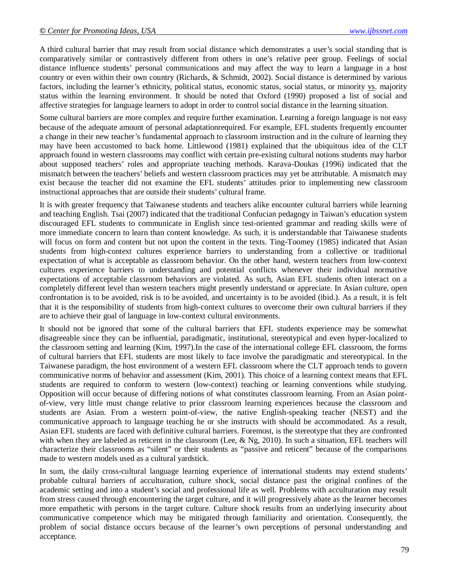A third cultural barrier that may result from social distance which demonstrates a user's social standing that is comparatively similar or contrastively different from others in one's relative peer group. Feelings of social distance influence students' personal communications and may affect the way to learn a language in a host country or even within their own country (Richards, & Schmidt, 2002). Social distance is determined by various factors, including the learner's ethnicity, political status, economic status, social status, or minority vs. majority status within the learning environment. It should be noted that Oxford (1990) proposed a list of social and affective strategies for language learners to adopt in order to control social distance in the learning situation.

Some cultural barriers are more complex and require further examination. Learning a foreign language is not easy because of the adequate amount of personal adaptationrequired. For example, EFL students frequently encounter a change in their new teacher's fundamental approach to classroom instruction and in the culture of learning they may have been accustomed to back home. Littlewood (1981) explained that the ubiquitous idea of the CLT approach found in western classrooms may conflict with certain pre-existing cultural notions students may harbor about supposed teachers' roles and appropriate teaching methods. Karava-Doukas (1996) indicated that the mismatch between the teachers' beliefs and western classroom practices may yet be attributable. A mismatch may exist because the teacher did not examine the EFL students' attitudes prior to implementing new classroom instructional approaches that are outside their students' cultural frame.

It is with greater frequency that Taiwanese students and teachers alike encounter cultural barriers while learning and teaching English. Tsai (2007) indicated that the traditional Confucian pedagogy in Taiwan's education system discouraged EFL students to communicate in English since test-oriented grammar and reading skills were of more immediate concern to learn than content knowledge. As such, it is understandable that Taiwanese students will focus on form and content but not upon the content in the texts. Ting-Toomey (1985) indicated that Asian students from high-context cultures experience barriers to understanding from a collective or traditional expectation of what is acceptable as classroom behavior. On the other hand, western teachers from low-context cultures experience barriers to understanding and potential conflicts whenever their individual normative expectations of acceptable classroom behaviors are violated. As such, Asian EFL students often interact on a completely different level than western teachers might presently understand or appreciate. In Asian culture, open confrontation is to be avoided, risk is to be avoided, and uncertainty is to be avoided (ibid.). As a result, it is felt that it is the responsibility of students from high-context cultures to overcome their own cultural barriers if they are to achieve their goal of language in low-context cultural environments.

It should not be ignored that some of the cultural barriers that EFL students experience may be somewhat disagreeable since they can be influential, paradigmatic, institutional, stereotypical and even hyper-localized to the classroom setting and learning (Kim, 1997).In the case of the international college EFL classroom, the forms of cultural barriers that EFL students are most likely to face involve the paradigmatic and stereotypical. In the Taiwanese paradigm, the host environment of a western EFL classroom where the CLT approach tends to govern communicative norms of behavior and assessment (Kim, 2001). This choice of a learning context means that EFL students are required to conform to western (low-context) teaching or learning conventions while studying. Opposition will occur because of differing notions of what constitutes classroom learning. From an Asian pointof-view, very little must change relative to prior classroom learning experiences because the classroom and students are Asian. From a western point-of-view, the native English-speaking teacher (NEST) and the communicative approach to language teaching he or she instructs with should be accommodated. As a result, Asian EFL students are faced with definitive cultural barriers. Foremost, is the stereotype that they are confronted with when they are labeled as reticent in the classroom (Lee,  $\&$  Ng, 2010). In such a situation, EFL teachers will characterize their classrooms as "silent" or their students as "passive and reticent" because of the comparisons made to western models used as a cultural yardstick.

In sum, the daily cross-cultural language learning experience of international students may extend students' probable cultural barriers of acculturation, culture shock, social distance past the original confines of the academic setting and into a student's social and professional life as well. Problems with acculturation may result from stress caused through encountering the target culture, and it will progressively abate as the learner becomes more empathetic with persons in the target culture. Culture shock results from an underlying insecurity about communicative competence which may be mitigated through familiarity and orientation. Consequently, the problem of social distance occurs because of the learner's own perceptions of personal understanding and acceptance.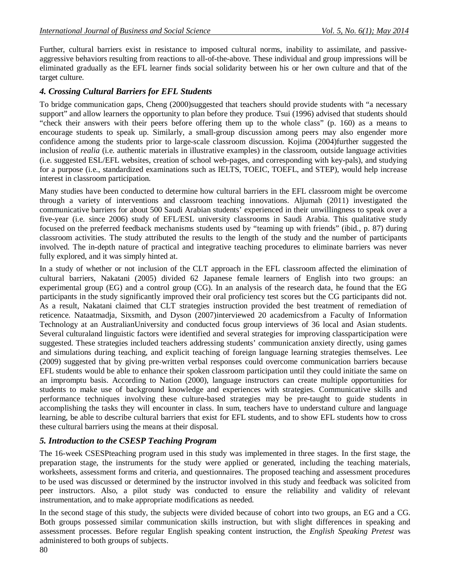Further, cultural barriers exist in resistance to imposed cultural norms, inability to assimilate, and passiveaggressive behaviors resulting from reactions to all-of-the-above. These individual and group impressions will be eliminated gradually as the EFL learner finds social solidarity between his or her own culture and that of the target culture.

#### *4. Crossing Cultural Barriers for EFL Students*

To bridge communication gaps, Cheng (2000)suggested that teachers should provide students with "a necessary support" and allow learners the opportunity to plan before they produce. Tsui (1996) advised that students should "check their answers with their peers before offering them up to the whole class" (p. 160) as a means to encourage students to speak up. Similarly, a small-group discussion among peers may also engender more confidence among the students prior to large-scale classroom discussion. Kojima (2004)further suggested the inclusion of *realia* (i.e. authentic materials in illustrative examples) in the classroom, outside language activities (i.e. suggested ESL/EFL websites, creation of school web-pages, and corresponding with key-pals), and studying for a purpose (i.e., standardized examinations such as IELTS, TOEIC, TOEFL, and STEP), would help increase interest in classroom participation.

Many studies have been conducted to determine how cultural barriers in the EFL classroom might be overcome through a variety of interventions and classroom teaching innovations. Aljumah (2011) investigated the communicative barriers for about 500 Saudi Arabian students' experienced in their unwillingness to speak over a five-year (i.e. since 2006) study of EFL/ESL university classrooms in Saudi Arabia. This qualitative study focused on the preferred feedback mechanisms students used by "teaming up with friends" (ibid., p. 87) during classroom activities. The study attributed the results to the length of the study and the number of participants involved. The in-depth nature of practical and integrative teaching procedures to eliminate barriers was never fully explored, and it was simply hinted at.

In a study of whether or not inclusion of the CLT approach in the EFL classroom affected the elimination of cultural barriers, Nakatani (2005) divided 62 Japanese female learners of English into two groups: an experimental group (EG) and a control group (CG). In an analysis of the research data, he found that the EG participants in the study significantly improved their oral proficiency test scores but the CG participants did not. As a result, Nakatani claimed that CLT strategies instruction provided the best treatment of remediation of reticence. Nataatmadja, Sixsmith, and Dyson (2007)interviewed 20 academicsfrom a Faculty of Information Technology at an AustralianUniversity and conducted focus group interviews of 36 local and Asian students. Several culturaland linguistic factors were identified and several strategies for improving classparticipation were suggested. These strategies included teachers addressing students' communication anxiety directly, using games and simulations during teaching, and explicit teaching of foreign language learning strategies themselves. Lee (2009) suggested that by giving pre-written verbal responses could overcome communication barriers because EFL students would be able to enhance their spoken classroom participation until they could initiate the same on an impromptu basis. According to Nation (2000), language instructors can create multiple opportunities for students to make use of background knowledge and experiences with strategies. Communicative skills and performance techniques involving these culture-based strategies may be pre-taught to guide students in accomplishing the tasks they will encounter in class. In sum, teachers have to understand culture and language learning, be able to describe cultural barriers that exist for EFL students, and to show EFL students how to cross these cultural barriers using the means at their disposal.

### *5. Introduction to the CSESP Teaching Program*

The 16-week CSESPteaching program used in this study was implemented in three stages. In the first stage, the preparation stage, the instruments for the study were applied or generated, including the teaching materials, worksheets, assessment forms and criteria, and questionnaires. The proposed teaching and assessment procedures to be used was discussed or determined by the instructor involved in this study and feedback was solicited from peer instructors. Also, a pilot study was conducted to ensure the reliability and validity of relevant instrumentation, and to make appropriate modifications as needed.

In the second stage of this study, the subjects were divided because of cohort into two groups, an EG and a CG. Both groups possessed similar communication skills instruction, but with slight differences in speaking and assessment processes. Before regular English speaking content instruction, the *English Speaking Pretest* was administered to both groups of subjects.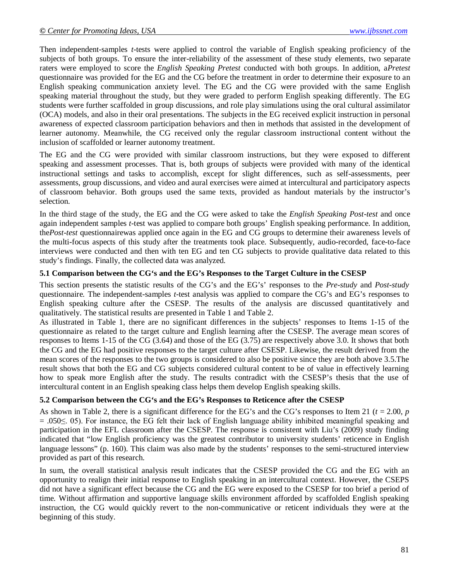Then independent-samples *t*-tests were applied to control the variable of English speaking proficiency of the subjects of both groups. To ensure the inter-reliability of the assessment of these study elements, two separate raters were employed to score the *English Speaking Pretest* conducted with both groups. In addition, a*Pretest*  questionnaire was provided for the EG and the CG before the treatment in order to determine their exposure to an English speaking communication anxiety level. The EG and the CG were provided with the same English speaking material throughout the study, but they were graded to perform English speaking differently. The EG students were further scaffolded in group discussions, and role play simulations using the oral cultural assimilator (OCA) models, and also in their oral presentations. The subjects in the EG received explicit instruction in personal awareness of expected classroom participation behaviors and then in methods that assisted in the development of learner autonomy. Meanwhile, the CG received only the regular classroom instructional content without the inclusion of scaffolded or learner autonomy treatment.

The EG and the CG were provided with similar classroom instructions, but they were exposed to different speaking and assessment processes. That is, both groups of subjects were provided with many of the identical instructional settings and tasks to accomplish, except for slight differences, such as self-assessments, peer assessments, group discussions, and video and aural exercises were aimed at intercultural and participatory aspects of classroom behavior. Both groups used the same texts, provided as handout materials by the instructor's selection.

In the third stage of the study, the EG and the CG were asked to take the *English Speaking Post-test* and once again independent samples *t*-test was applied to compare both groups' English speaking performance. In addition, the*Post-test* questionnairewas applied once again in the EG and CG groups to determine their awareness levels of the multi-focus aspects of this study after the treatments took place. Subsequently, audio-recorded, face-to-face interviews were conducted and then with ten EG and ten CG subjects to provide qualitative data related to this study's findings. Finally, the collected data was analyzed.

#### **5.1 Comparison between the CG's and the EG's Responses to the Target Culture in the CSESP**

This section presents the statistic results of the CG's and the EG's' responses to the *Pre-study* and *Post-study*  questionnaire*.* The independent-samples *t*-test analysis was applied to compare the CG's and EG's responses to English speaking culture after the CSESP. The results of the analysis are discussed quantitatively and qualitatively. The statistical results are presented in Table 1 and Table 2.

As illustrated in Table 1, there are no significant differences in the subjects' responses to Items 1-15 of the questionnaire as related to the target culture and English learning after the CSESP. The average mean scores of responses to Items 1-15 of the CG (3.64) and those of the EG (3.75) are respectively above 3.0. It shows that both the CG and the EG had positive responses to the target culture after CSESP. Likewise, the result derived from the mean scores of the responses to the two groups is considered to also be positive since they are both above 3.5.The result shows that both the EG and CG subjects considered cultural content to be of value in effectively learning how to speak more English after the study. The results contradict with the CSESP's thesis that the use of intercultural content in an English speaking class helps them develop English speaking skills.

#### **5.2 Comparison between the CG's and the EG's Responses to Reticence after the CSESP**

As shown in Table 2, there is a significant difference for the EG's and the CG's responses to Item 21 ( $t = 2.00$ , *p* = .050≤. 05). For instance, the EG felt their lack of English language ability inhibited meaningful speaking and participation in the EFL classroom after the CSESP. The response is consistent with Liu's (2009) study finding indicated that "low English proficiency was the greatest contributor to university students' reticence in English language lessons" (p. 160). This claim was also made by the students' responses to the semi-structured interview provided as part of this research.

In sum, the overall statistical analysis result indicates that the CSESP provided the CG and the EG with an opportunity to realign their initial response to English speaking in an intercultural context. However, the CSEPS did not have a significant effect because the CG and the EG were exposed to the CSESP for too brief a period of time. Without affirmation and supportive language skills environment afforded by scaffolded English speaking instruction, the CG would quickly revert to the non-communicative or reticent individuals they were at the beginning of this study.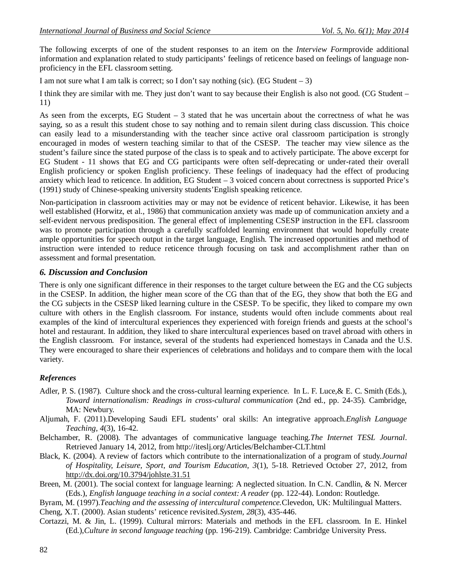The following excerpts of one of the student responses to an item on the *Interview Form*provide additional information and explanation related to study participants' feelings of reticence based on feelings of language nonproficiency in the EFL classroom setting.

I am not sure what I am talk is correct; so I don't say nothing (sic). (EG Student  $-3$ )

I think they are similar with me. They just don't want to say because their English is also not good. (CG Student – 11)

As seen from the excerpts, EG Student  $-3$  stated that he was uncertain about the correctness of what he was saying, so as a result this student chose to say nothing and to remain silent during class discussion. This choice can easily lead to a misunderstanding with the teacher since active oral classroom participation is strongly encouraged in modes of western teaching similar to that of the CSESP. The teacher may view silence as the student's failure since the stated purpose of the class is to speak and to actively participate. The above excerpt for EG Student - 11 shows that EG and CG participants were often self-deprecating or under-rated their overall English proficiency or spoken English proficiency. These feelings of inadequacy had the effect of producing anxiety which lead to reticence. In addition, EG Student – 3 voiced concern about correctness is supported Price's (1991) study of Chinese-speaking university students'English speaking reticence.

Non-participation in classroom activities may or may not be evidence of reticent behavior. Likewise, it has been well established (Horwitz, et al., 1986) that communication anxiety was made up of communication anxiety and a self-evident nervous predisposition. The general effect of implementing CSESP instruction in the EFL classroom was to promote participation through a carefully scaffolded learning environment that would hopefully create ample opportunities for speech output in the target language, English. The increased opportunities and method of instruction were intended to reduce reticence through focusing on task and accomplishment rather than on assessment and formal presentation.

#### *6. Discussion and Conclusion*

There is only one significant difference in their responses to the target culture between the EG and the CG subjects in the CSESP. In addition, the higher mean score of the CG than that of the EG, they show that both the EG and the CG subjects in the CSESP liked learning culture in the CSESP. To be specific, they liked to compare my own culture with others in the English classroom. For instance, students would often include comments about real examples of the kind of intercultural experiences they experienced with foreign friends and guests at the school's hotel and restaurant. In addition, they liked to share intercultural experiences based on travel abroad with others in the English classroom. For instance, several of the students had experienced homestays in Canada and the U.S. They were encouraged to share their experiences of celebrations and holidays and to compare them with the local variety.

#### *References*

- Adler, P. S. (1987). Culture shock and the cross-cultural learning experience. In L. F. Luce, & E. C. Smith (Eds.), *Toward internationalism: Readings in cross-cultural communication* (2nd ed., pp. 24-35)*.* Cambridge, MA: Newbury.
- Aljumah, F. (2011).Developing Saudi EFL students' oral skills: An integrative approach.*English Language Teaching, 4*(3), 16-42.
- Belchamber, R. (2008). The advantages of communicative language teaching.*The Internet TESL Journal*. Retrieved January 14, 2012, from http://iteslj.org/Articles/Belchamber-CLT.html
- Black, K. (2004). A review of factors which contribute to the internationalization of a program of study.*Journal of Hospitality, Leisure, Sport, and Tourism Education, 3*(1), 5-18. Retrieved October 27, 2012, from http://dx.doi.org/10.3794/johlste.31.51
- Breen, M. (2001). The social context for language learning: A neglected situation. In C.N. Candlin, & N. Mercer (Eds.), *English language teaching in a social context: A reader* (pp. 122-44). London: Routledge.
- Byram, M. (1997).*Teaching and the assessing of intercultural competence.*Clevedon, UK: Multilingual Matters. Cheng, X.T. (2000). Asian students' reticence revisited.*System, 28*(3), 435‐446.
- Cortazzi, M. & Jin, L. (1999). Cultural mirrors: Materials and methods in the EFL classroom. In E. Hinkel (Ed.),*Culture in second language teaching* (pp. 196-219). Cambridge: Cambridge University Press.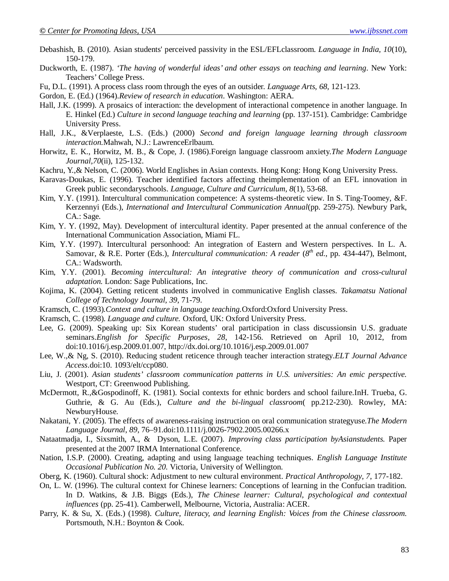- Debashish, B. (2010). Asian students' perceived passivity in the ESL/EFLclassroom. *Language in India, 10*(10), 150-179.
- Duckworth, E. (1987). *'The having of wonderful ideas' and other essays on teaching and learning*. New York: Teachers' College Press.
- Fu, D.L. (1991). A process class room through the eyes of an outsider. *Language Arts, 68*, 121-123.
- Gordon, E. (Ed.) (1964).*Review of research in education*. Washington: AERA.
- Hall, J.K. (1999). A prosaics of interaction: the development of interactional competence in another language. In E. Hinkel (Ed.) *Culture in second language teaching and learning* (pp. 137-151). Cambridge: Cambridge University Press.
- Hall, J.K., &Verplaeste, L.S. (Eds.) (2000) *Second and foreign language learning through classroom interaction.*Mahwah, N.J.: LawrenceErlbaum.
- Horwitz, E. K., Horwitz, M. B., & Cope, J. (1986).Foreign language classroom anxiety.*The Modern Language Journal,70*(ii), 125-132.
- Kachru, Y.,& Nelson, C. (2006). World Englishes in Asian contexts. Hong Kong: Hong Kong University Press.
- Karavas-Doukas, E. (1996). Teacher identified factors affecting theimplementation of an EFL innovation in Greek public secondaryschools. *Language, Culture and Curriculum, 8*(1), 53-68.
- Kim, Y.Y. (1991). Intercultural communication competence: A systems-theoretic view. In S. Ting-Toomey, &F. Kerzennyi (Eds.), *International and Intercultural Communication Annual*(pp. 259-275). Newbury Park, CA.: Sage.
- Kim, Y. Y. (1992, May). Development of intercultural identity. Paper presented at the annual conference of the International Communication Association, Miami FL.
- Kim, Y.Y. (1997). Intercultural personhood: An integration of Eastern and Western perspectives. In L. A. Samovar, & R.E. Porter (Eds.), *Intercultural communication: A reader* (8<sup>th</sup> ed., pp. 434-447), Belmont, CA.: Wadsworth.
- Kim, Y.Y. (2001). *Becoming intercultural: An integrative theory of communication and cross-cultural adaptation.* London: Sage Publications, Inc.
- Kojima, K. (2004). Getting reticent students involved in communicative English classes. *Takamatsu National College of Technology Journal, 39*, 71-79.
- Kramsch, C. (1993).*Context and culture in language teaching.*Oxford:Oxford University Press.
- Kramsch, C. (1998). *Language and culture.* Oxford, UK: Oxford University Press.
- Lee, G. (2009). Speaking up: Six Korean students' oral participation in class discussionsin U.S. graduate seminars.*English for Specific Purposes*, *28*, 142-156. Retrieved on April 10, 2012, from doi:10.1016/j.esp.2009.01.007, http://dx.doi.org/10.1016/j.esp.2009.01.007
- Lee, W.,& Ng, S. (2010). Reducing student reticence through teacher interaction strategy.*ELT Journal Advance Access*.doi:10. 1093/elt/ccp080.
- Liu, J. (2001). *Asian students' classroom communication patterns in U.S. universities: An emic perspective.*  Westport, CT: Greenwood Publishing.
- McDermott, R.,&Gospodinoff, K. (1981). Social contexts for ethnic borders and school failure.InH. Trueba, G. Guthrie, & G. Au (Eds.), *Culture and the bi-lingual classroom*( pp.212-230). Rowley, MA: NewburyHouse.
- Nakatani, Y. (2005). The effects of awareness-raising instruction on oral communication strategyuse.*The Modern Language Journal*, *89*, 76–91.doi:10.1111/j.0026-7902.2005.00266.x
- Nataatmadja, I., Sixsmith, A., & Dyson, L.E. (2007). *Improving class participation byAsianstudents.* Paper presented at the 2007 IRMA International Conference.
- Nation, I.S.P. (2000). Creating, adapting and using language teaching techniques. *English Language Institute Occasional Publication No. 20*. Victoria, University of Wellington.
- Oberg, K. (1960). Cultural shock: Adjustment to new cultural environment. *Practical Anthropology, 7*, 177-182.
- On, L. W. (1996). The cultural context for Chinese learners: Conceptions of learning in the Confucian tradition. In D. Watkins, & J.B. Biggs (Eds.), *The Chinese learner: Cultural, psychological and contextual influences* (pp. 25-41). Camberwell, Melbourne, Victoria, Australia: ACER.
- Parry, K. & Su, X. (Eds.) (1998). *Culture, literacy, and learning English: Voices from the Chinese classroom.* Portsmouth, N.H.: Boynton & Cook.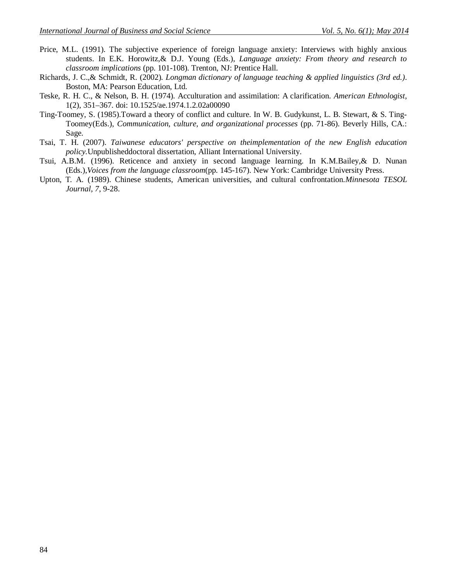- Price, M.L. (1991). The subjective experience of foreign language anxiety: Interviews with highly anxious students. In E.K. Horowitz,& D.J. Young (Eds.), *Language anxiety: From theory and research to classroom implications* (pp. 101-108). Trenton, NJ: Prentice Hall.
- Richards, J. C.,& Schmidt, R. (2002). *Longman dictionary of language teaching & applied linguistics (3rd ed.)*. Boston, MA: Pearson Education, Ltd.
- Teske, R. H. C., & Nelson, B. H. (1974). Acculturation and assimilation: A clarification. *American Ethnologist*, 1(2), 351–367. doi: 10.1525/ae.1974.1.2.02a00090
- Ting-Toomey, S. (1985).Toward a theory of conflict and culture. In W. B. Gudykunst, L. B. Stewart, & S. Ting-Toomey(Eds.), *Communication, culture, and organizational processes* (pp. 71-86). Beverly Hills, CA.: Sage.
- Tsai, T. H. (2007). *Taiwanese educators' perspective on theimplementation of the new English education policy.*Unpublisheddoctoral dissertation, Alliant International University.
- Tsui, A.B.M. (1996). Reticence and anxiety in second language learning. In K.M.Bailey,& D. Nunan (Eds.),*Voices from the language classroom*(pp. 145-167). New York: Cambridge University Press.
- Upton, T. A. (1989). Chinese students, American universities, and cultural confrontation.*Minnesota TESOL Journal, 7*, 9-28.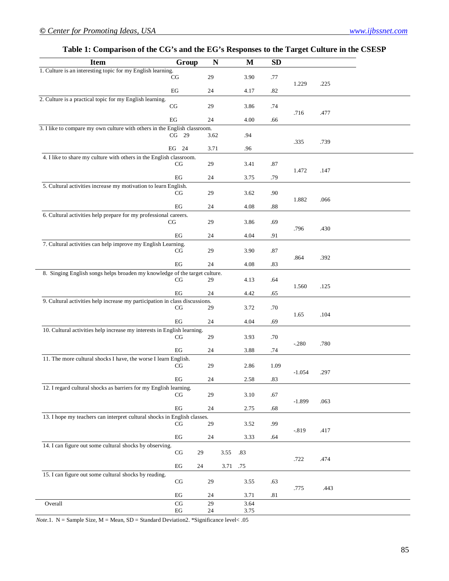# **Table 1: Comparison of the CG's and the EG's Responses to the Target Culture in the CSESP**

| <b>Item</b>                                                                 | Group                  | ${\bf N}$ |      | M    | SD   |          |      |  |
|-----------------------------------------------------------------------------|------------------------|-----------|------|------|------|----------|------|--|
| 1. Culture is an interesting topic for my English learning.                 | CG                     | 29        |      | 3.90 | .77  | 1.229    | .225 |  |
|                                                                             | $\operatorname{EG}$    | 24        |      | 4.17 | .82  |          |      |  |
| 2. Culture is a practical topic for my English learning.                    |                        |           |      |      |      |          |      |  |
|                                                                             | $\mathbf{C}\mathbf{G}$ | 29        |      | 3.86 | .74  | .716     | .477 |  |
|                                                                             | EG                     | 24        |      | 4.00 | .66  |          |      |  |
| 3. I like to compare my own culture with others in the English classroom.   | CG 29                  | 3.62      |      | .94  |      |          |      |  |
|                                                                             | EG 24                  | 3.71      |      | .96  |      | .335     | .739 |  |
| 4. I like to share my culture with others in the English classroom.         |                        |           |      |      |      |          |      |  |
|                                                                             | CG                     | 29        |      | 3.41 | .87  | 1.472    | .147 |  |
|                                                                             | $\operatorname{EG}$    | 24        |      | 3.75 | .79  |          |      |  |
| 5. Cultural activities increase my motivation to learn English.             |                        |           |      |      |      |          |      |  |
|                                                                             | CG                     | 29        |      | 3.62 | .90  | 1.882    | .066 |  |
|                                                                             | EG                     | 24        |      | 4.08 | .88  |          |      |  |
| 6. Cultural activities help prepare for my professional careers.            | CG                     | 29        |      | 3.86 | .69  |          |      |  |
|                                                                             | EG                     | 24        |      | 4.04 | .91  | .796     | .430 |  |
| 7. Cultural activities can help improve my English Learning.                |                        |           |      |      |      |          |      |  |
|                                                                             | CG                     | 29        |      | 3.90 | .87  |          |      |  |
|                                                                             | $_{\rm EG}$            | 24        |      | 4.08 | .83  | .864     | .392 |  |
| 8. Singing English songs helps broaden my knowledge of the target culture.  |                        |           |      |      |      |          |      |  |
|                                                                             | CG                     | 29        |      | 4.13 | .64  | 1.560    | .125 |  |
|                                                                             | EG                     | 24        |      | 4.42 | .65  |          |      |  |
| 9. Cultural activities help increase my participation in class discussions. |                        |           |      |      |      |          |      |  |
|                                                                             | CG                     | 29        |      | 3.72 | .70  | 1.65     | .104 |  |
|                                                                             | $_{\rm EG}$            | 24        |      | 4.04 | .69  |          |      |  |
| 10. Cultural activities help increase my interests in English learning.     | CG                     | 29        |      | 3.93 | .70  |          |      |  |
|                                                                             |                        |           |      |      |      | $-.280$  | .780 |  |
|                                                                             | EG                     | 24        |      | 3.88 | .74  |          |      |  |
| 11. The more cultural shocks I have, the worse I learn English.             | CG                     | 29        |      | 2.86 | 1.09 |          |      |  |
|                                                                             |                        |           |      |      |      | $-1.054$ | .297 |  |
|                                                                             | EG                     | 24        |      | 2.58 | .83  |          |      |  |
| 12. I regard cultural shocks as barriers for my English learning.           | CG                     | 29        |      | 3.10 | .67  |          |      |  |
|                                                                             | EG                     | 24        |      | 2.75 | .68  | $-1.899$ | .063 |  |
| 13. I hope my teachers can interpret cultural shocks in English classes.    |                        |           |      |      |      |          |      |  |
|                                                                             | CG                     | 29        |      | 3.52 | .99  |          |      |  |
|                                                                             | EG                     | 24        |      | 3.33 | .64  | $-819$   | .417 |  |
| 14. I can figure out some cultural shocks by observing.                     |                        |           |      |      |      |          |      |  |
|                                                                             | $\rm CG$               | 29        | 3.55 | .83  |      |          |      |  |
|                                                                             | EG                     | 24        | 3.71 | .75  |      | .722     | .474 |  |
| 15. I can figure out some cultural shocks by reading.                       |                        |           |      |      |      |          |      |  |
|                                                                             | $\mathbf{CG}\xspace$   | 29        |      | 3.55 | .63  |          |      |  |
|                                                                             | EG                     | 24        |      | 3.71 | .81  | .775     | .443 |  |
| Overall                                                                     | CG                     | 29        |      | 3.64 |      |          |      |  |
|                                                                             | EG                     | 24        |      | 3.75 |      |          |      |  |

*Note.*1.  $N =$  Sample Size,  $M =$  Mean,  $SD =$  Standard Deviation2. \*Significance level < .05